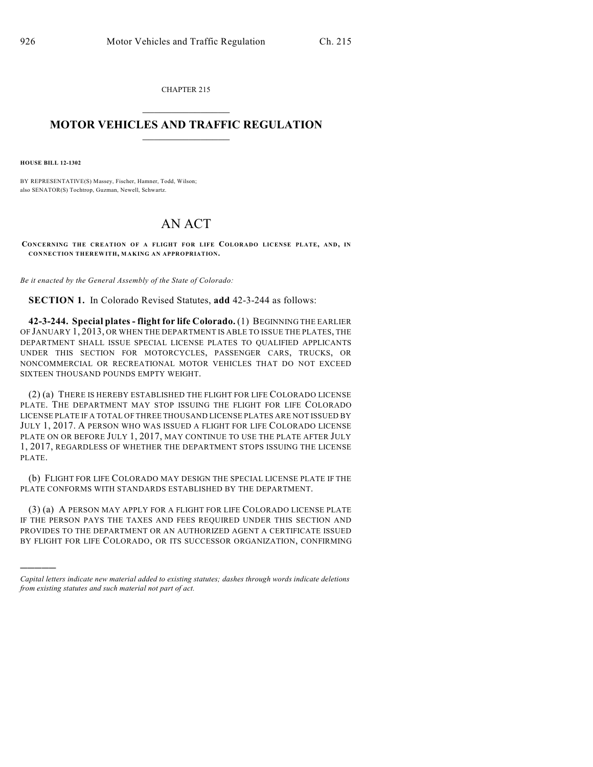CHAPTER 215  $\mathcal{L}_\text{max}$  . The set of the set of the set of the set of the set of the set of the set of the set of the set of the set of the set of the set of the set of the set of the set of the set of the set of the set of the set

## **MOTOR VEHICLES AND TRAFFIC REGULATION**  $\frac{1}{2}$  ,  $\frac{1}{2}$  ,  $\frac{1}{2}$  ,  $\frac{1}{2}$  ,  $\frac{1}{2}$  ,  $\frac{1}{2}$  ,  $\frac{1}{2}$

**HOUSE BILL 12-1302**

)))))

BY REPRESENTATIVE(S) Massey, Fischer, Hamner, Todd, Wilson; also SENATOR(S) Tochtrop, Guzman, Newell, Schwartz.

## AN ACT

**CONCERNING THE CREATION OF A FLIGHT FOR LIFE COLORADO LICENSE PLATE, AND, IN CONNECTION THEREWITH, MAKING AN APPROPRIATION.**

*Be it enacted by the General Assembly of the State of Colorado:*

**SECTION 1.** In Colorado Revised Statutes, **add** 42-3-244 as follows:

**42-3-244. Special plates - flight for life Colorado.** (1) BEGINNING THE EARLIER OF JANUARY 1, 2013, OR WHEN THE DEPARTMENT IS ABLE TO ISSUE THE PLATES, THE DEPARTMENT SHALL ISSUE SPECIAL LICENSE PLATES TO QUALIFIED APPLICANTS UNDER THIS SECTION FOR MOTORCYCLES, PASSENGER CARS, TRUCKS, OR NONCOMMERCIAL OR RECREATIONAL MOTOR VEHICLES THAT DO NOT EXCEED SIXTEEN THOUSAND POUNDS EMPTY WEIGHT.

(2) (a) THERE IS HEREBY ESTABLISHED THE FLIGHT FOR LIFE COLORADO LICENSE PLATE. THE DEPARTMENT MAY STOP ISSUING THE FLIGHT FOR LIFE COLORADO LICENSE PLATE IF A TOTAL OF THREE THOUSAND LICENSE PLATES ARE NOT ISSUED BY JULY 1, 2017. A PERSON WHO WAS ISSUED A FLIGHT FOR LIFE COLORADO LICENSE PLATE ON OR BEFORE JULY 1, 2017, MAY CONTINUE TO USE THE PLATE AFTER JULY 1, 2017, REGARDLESS OF WHETHER THE DEPARTMENT STOPS ISSUING THE LICENSE PLATE.

(b) FLIGHT FOR LIFE COLORADO MAY DESIGN THE SPECIAL LICENSE PLATE IF THE PLATE CONFORMS WITH STANDARDS ESTABLISHED BY THE DEPARTMENT.

(3) (a) A PERSON MAY APPLY FOR A FLIGHT FOR LIFE COLORADO LICENSE PLATE IF THE PERSON PAYS THE TAXES AND FEES REQUIRED UNDER THIS SECTION AND PROVIDES TO THE DEPARTMENT OR AN AUTHORIZED AGENT A CERTIFICATE ISSUED BY FLIGHT FOR LIFE COLORADO, OR ITS SUCCESSOR ORGANIZATION, CONFIRMING

*Capital letters indicate new material added to existing statutes; dashes through words indicate deletions from existing statutes and such material not part of act.*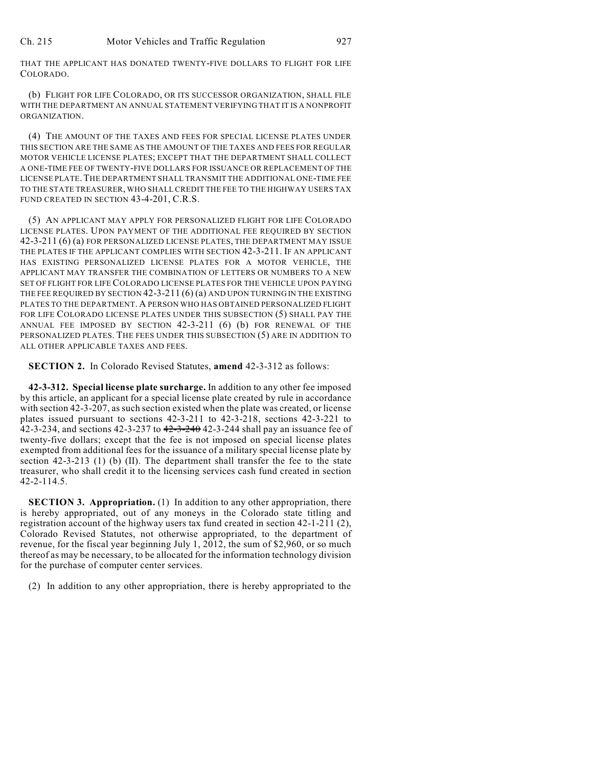THAT THE APPLICANT HAS DONATED TWENTY-FIVE DOLLARS TO FLIGHT FOR LIFE COLORADO.

(b) FLIGHT FOR LIFE COLORADO, OR ITS SUCCESSOR ORGANIZATION, SHALL FILE WITH THE DEPARTMENT AN ANNUAL STATEMENT VERIFYING THAT IT IS A NONPROFIT ORGANIZATION.

(4) THE AMOUNT OF THE TAXES AND FEES FOR SPECIAL LICENSE PLATES UNDER THIS SECTION ARE THE SAME AS THE AMOUNT OF THE TAXES AND FEES FOR REGULAR MOTOR VEHICLE LICENSE PLATES; EXCEPT THAT THE DEPARTMENT SHALL COLLECT A ONE-TIME FEE OF TWENTY-FIVE DOLLARS FOR ISSUANCE OR REPLACEMENT OF THE LICENSE PLATE.THE DEPARTMENT SHALL TRANSMIT THE ADDITIONAL ONE-TIME FEE TO THE STATE TREASURER, WHO SHALL CREDIT THE FEE TO THE HIGHWAY USERS TAX FUND CREATED IN SECTION 43-4-201, C.R.S.

(5) AN APPLICANT MAY APPLY FOR PERSONALIZED FLIGHT FOR LIFE COLORADO LICENSE PLATES. UPON PAYMENT OF THE ADDITIONAL FEE REQUIRED BY SECTION 42-3-211 (6) (a) FOR PERSONALIZED LICENSE PLATES, THE DEPARTMENT MAY ISSUE THE PLATES IF THE APPLICANT COMPLIES WITH SECTION 42-3-211. IF AN APPLICANT HAS EXISTING PERSONALIZED LICENSE PLATES FOR A MOTOR VEHICLE, THE APPLICANT MAY TRANSFER THE COMBINATION OF LETTERS OR NUMBERS TO A NEW SET OF FLIGHT FOR LIFE COLORADO LICENSE PLATES FOR THE VEHICLE UPON PAYING THE FEE REQUIRED BY SECTION 42-3-211 (6) (a) AND UPON TURNING IN THE EXISTING PLATES TO THE DEPARTMENT. A PERSON WHO HAS OBTAINED PERSONALIZED FLIGHT FOR LIFE COLORADO LICENSE PLATES UNDER THIS SUBSECTION (5) SHALL PAY THE ANNUAL FEE IMPOSED BY SECTION 42-3-211 (6) (b) FOR RENEWAL OF THE PERSONALIZED PLATES. THE FEES UNDER THIS SUBSECTION (5) ARE IN ADDITION TO ALL OTHER APPLICABLE TAXES AND FEES.

**SECTION 2.** In Colorado Revised Statutes, **amend** 42-3-312 as follows:

**42-3-312. Special license plate surcharge.** In addition to any other fee imposed by this article, an applicant for a special license plate created by rule in accordance with section 42-3-207, assuch section existed when the plate was created, or license plates issued pursuant to sections 42-3-211 to 42-3-218, sections 42-3-221 to 42-3-234, and sections 42-3-237 to  $42-3-240$  42-3-244 shall pay an issuance fee of twenty-five dollars; except that the fee is not imposed on special license plates exempted from additional fees for the issuance of a military special license plate by section 42-3-213 (1) (b) (II). The department shall transfer the fee to the state treasurer, who shall credit it to the licensing services cash fund created in section 42-2-114.5.

**SECTION 3. Appropriation.** (1) In addition to any other appropriation, there is hereby appropriated, out of any moneys in the Colorado state titling and registration account of the highway users tax fund created in section 42-1-211 (2), Colorado Revised Statutes, not otherwise appropriated, to the department of revenue, for the fiscal year beginning July 1, 2012, the sum of \$2,960, or so much thereof as may be necessary, to be allocated for the information technology division for the purchase of computer center services.

(2) In addition to any other appropriation, there is hereby appropriated to the